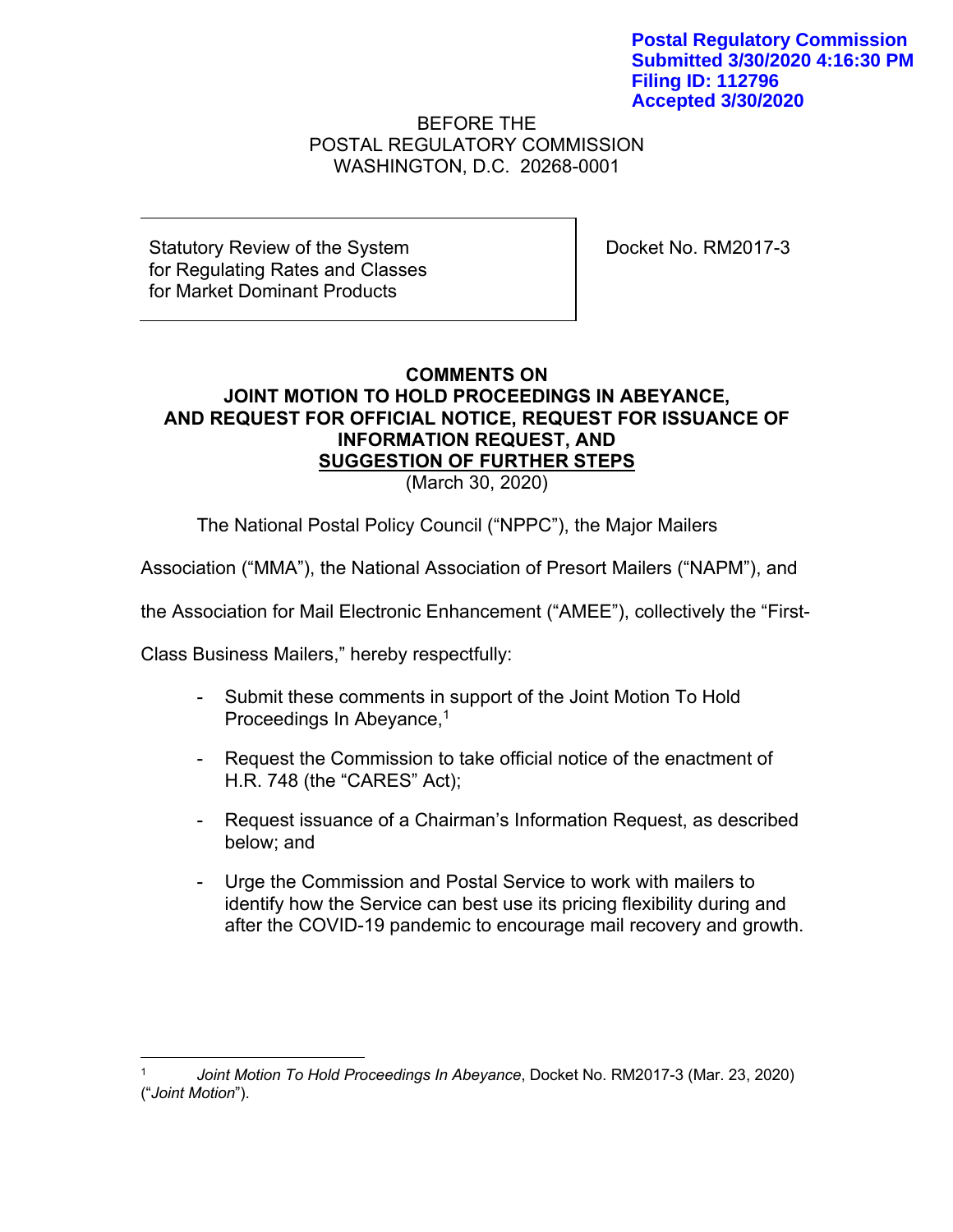**Postal Regulatory Commission Submitted 3/30/2020 4:16:30 PM Filing ID: 112796 Accepted 3/30/2020**

### BEFORE THE POSTAL REGULATORY COMMISSION WASHINGTON, D.C. 20268-0001

Statutory Review of the System for Regulating Rates and Classes for Market Dominant Products

Docket No. RM2017-3

# **COMMENTS ON JOINT MOTION TO HOLD PROCEEDINGS IN ABEYANCE, AND REQUEST FOR OFFICIAL NOTICE, REQUEST FOR ISSUANCE OF INFORMATION REQUEST, AND SUGGESTION OF FURTHER STEPS**

(March 30, 2020)

The National Postal Policy Council ("NPPC"), the Major Mailers

Association ("MMA"), the National Association of Presort Mailers ("NAPM"), and

the Association for Mail Electronic Enhancement ("AMEE"), collectively the "First-

Class Business Mailers," hereby respectfully:

- Submit these comments in support of the Joint Motion To Hold Proceedings In Abeyance, 1
- Request the Commission to take official notice of the enactment of H.R. 748 (the "CARES" Act);
- Request issuance of a Chairman's Information Request, as described below; and
- Urge the Commission and Postal Service to work with mailers to identify how the Service can best use its pricing flexibility during and after the COVID-19 pandemic to encourage mail recovery and growth.

<sup>1</sup> *Joint Motion To Hold Proceedings In Abeyance*, Docket No. RM2017-3 (Mar. 23, 2020) ("*Joint Motion*").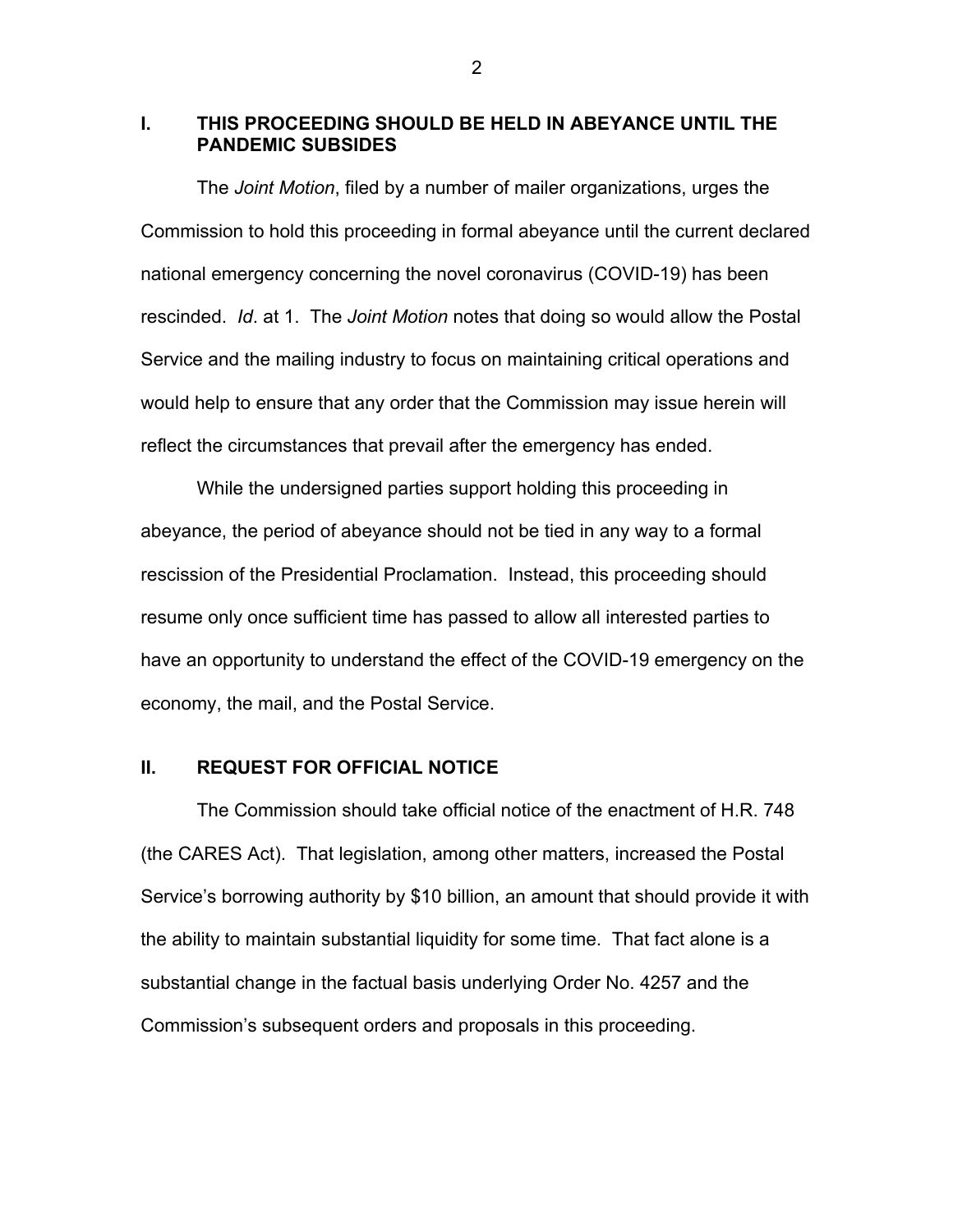**I. THIS PROCEEDING SHOULD BE HELD IN ABEYANCE UNTIL THE PANDEMIC SUBSIDES**

The *Joint Motion*, filed by a number of mailer organizations, urges the Commission to hold this proceeding in formal abeyance until the current declared national emergency concerning the novel coronavirus (COVID-19) has been rescinded. *Id*. at 1. The *Joint Motion* notes that doing so would allow the Postal Service and the mailing industry to focus on maintaining critical operations and would help to ensure that any order that the Commission may issue herein will reflect the circumstances that prevail after the emergency has ended.

While the undersigned parties support holding this proceeding in abeyance, the period of abeyance should not be tied in any way to a formal rescission of the Presidential Proclamation. Instead, this proceeding should resume only once sufficient time has passed to allow all interested parties to have an opportunity to understand the effect of the COVID-19 emergency on the economy, the mail, and the Postal Service.

### **II. REQUEST FOR OFFICIAL NOTICE**

The Commission should take official notice of the enactment of H.R. 748 (the CARES Act). That legislation, among other matters, increased the Postal Service's borrowing authority by \$10 billion, an amount that should provide it with the ability to maintain substantial liquidity for some time. That fact alone is a substantial change in the factual basis underlying Order No. 4257 and the Commission's subsequent orders and proposals in this proceeding.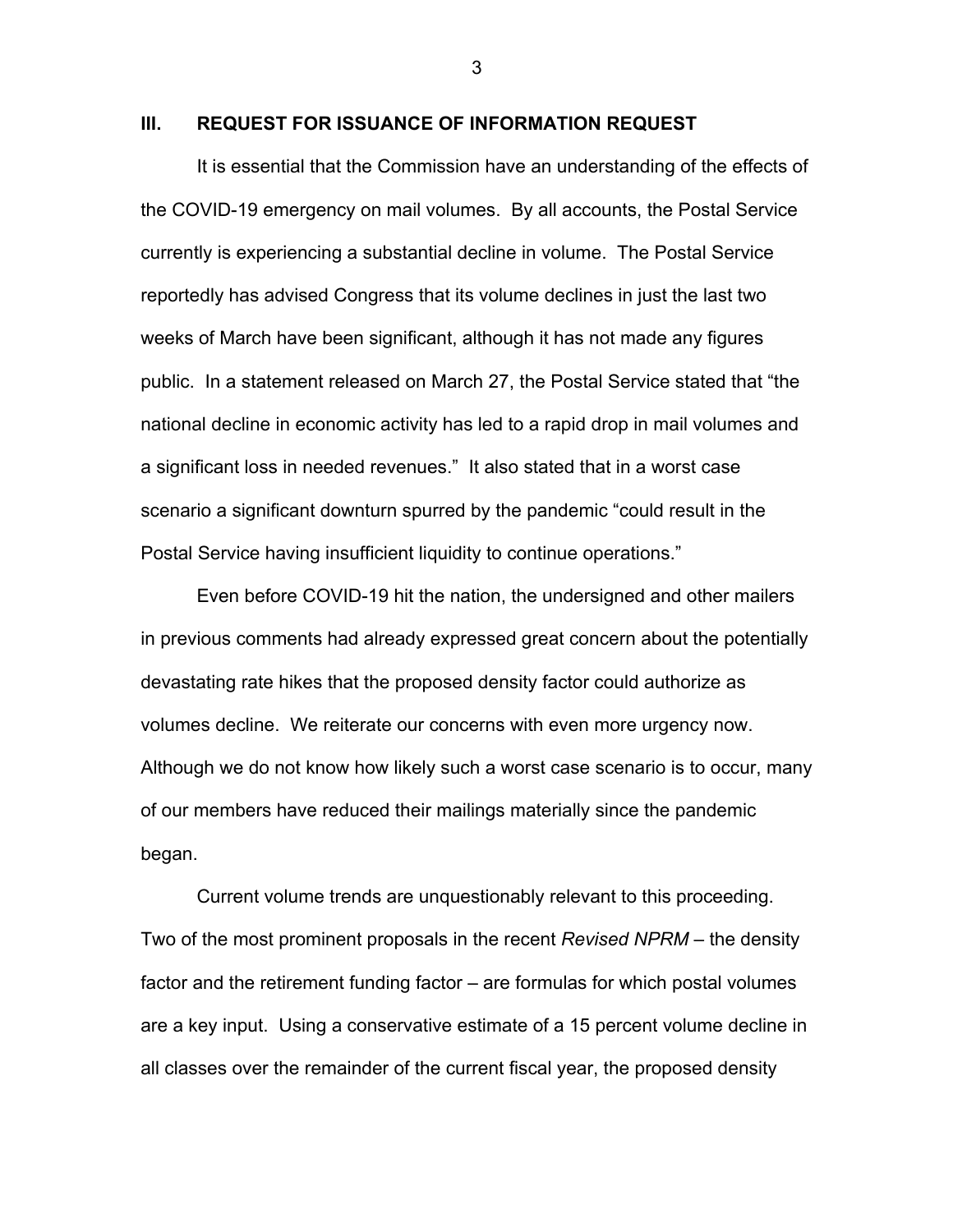#### **III. REQUEST FOR ISSUANCE OF INFORMATION REQUEST**

It is essential that the Commission have an understanding of the effects of the COVID-19 emergency on mail volumes. By all accounts, the Postal Service currently is experiencing a substantial decline in volume. The Postal Service reportedly has advised Congress that its volume declines in just the last two weeks of March have been significant, although it has not made any figures public. In a statement released on March 27, the Postal Service stated that "the national decline in economic activity has led to a rapid drop in mail volumes and a significant loss in needed revenues." It also stated that in a worst case scenario a significant downturn spurred by the pandemic "could result in the Postal Service having insufficient liquidity to continue operations."

Even before COVID-19 hit the nation, the undersigned and other mailers in previous comments had already expressed great concern about the potentially devastating rate hikes that the proposed density factor could authorize as volumes decline. We reiterate our concerns with even more urgency now. Although we do not know how likely such a worst case scenario is to occur, many of our members have reduced their mailings materially since the pandemic began.

Current volume trends are unquestionably relevant to this proceeding. Two of the most prominent proposals in the recent *Revised NPRM* – the density factor and the retirement funding factor – are formulas for which postal volumes are a key input. Using a conservative estimate of a 15 percent volume decline in all classes over the remainder of the current fiscal year, the proposed density

3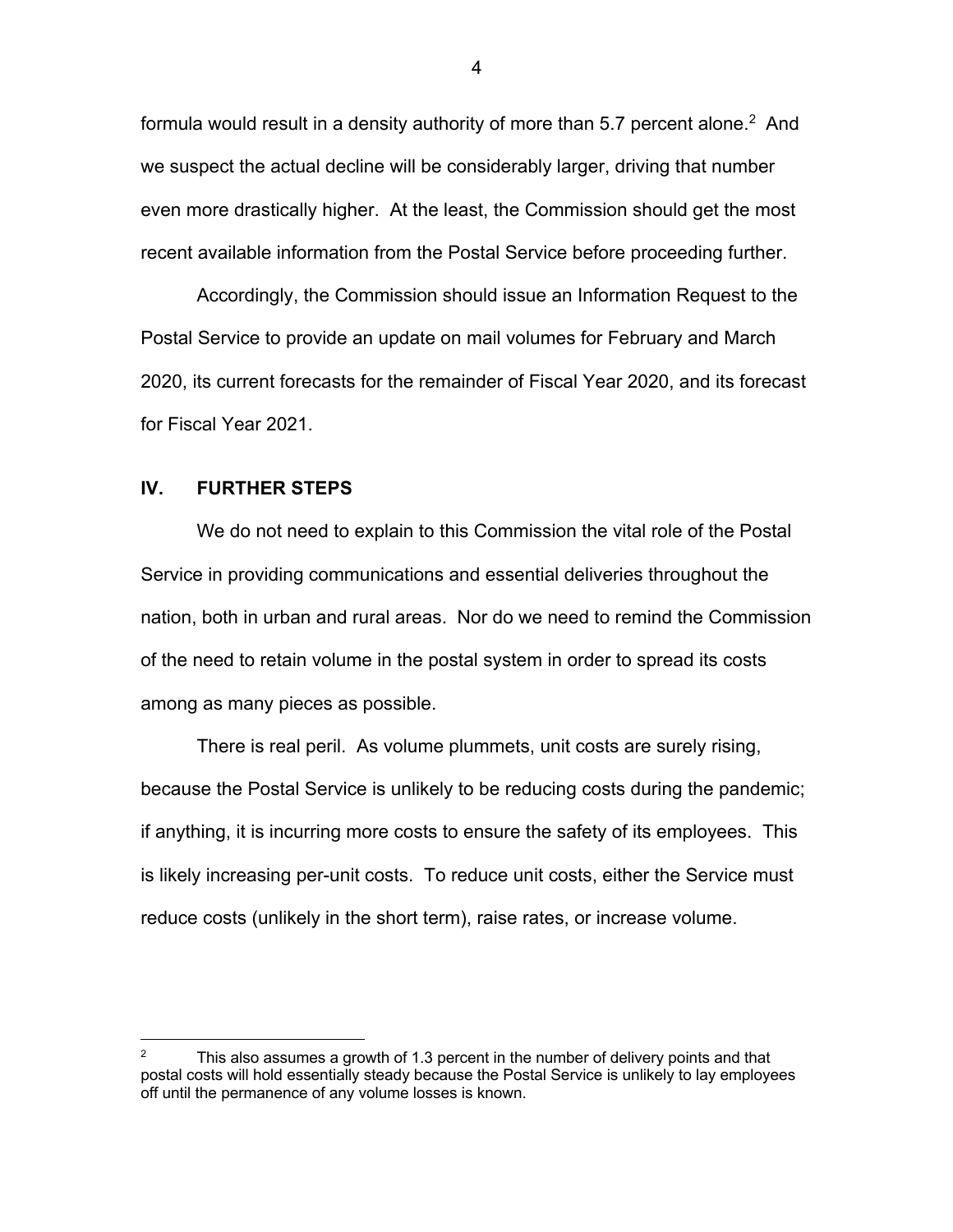formula would result in a density authority of more than 5.7 percent alone. $2$  And we suspect the actual decline will be considerably larger, driving that number even more drastically higher. At the least, the Commission should get the most recent available information from the Postal Service before proceeding further.

Accordingly, the Commission should issue an Information Request to the Postal Service to provide an update on mail volumes for February and March 2020, its current forecasts for the remainder of Fiscal Year 2020, and its forecast for Fiscal Year 2021.

## **IV. FURTHER STEPS**

We do not need to explain to this Commission the vital role of the Postal Service in providing communications and essential deliveries throughout the nation, both in urban and rural areas. Nor do we need to remind the Commission of the need to retain volume in the postal system in order to spread its costs among as many pieces as possible.

There is real peril. As volume plummets, unit costs are surely rising, because the Postal Service is unlikely to be reducing costs during the pandemic; if anything, it is incurring more costs to ensure the safety of its employees. This is likely increasing per-unit costs. To reduce unit costs, either the Service must reduce costs (unlikely in the short term), raise rates, or increase volume.

 $2^2$  This also assumes a growth of 1.3 percent in the number of delivery points and that postal costs will hold essentially steady because the Postal Service is unlikely to lay employees off until the permanence of any volume losses is known.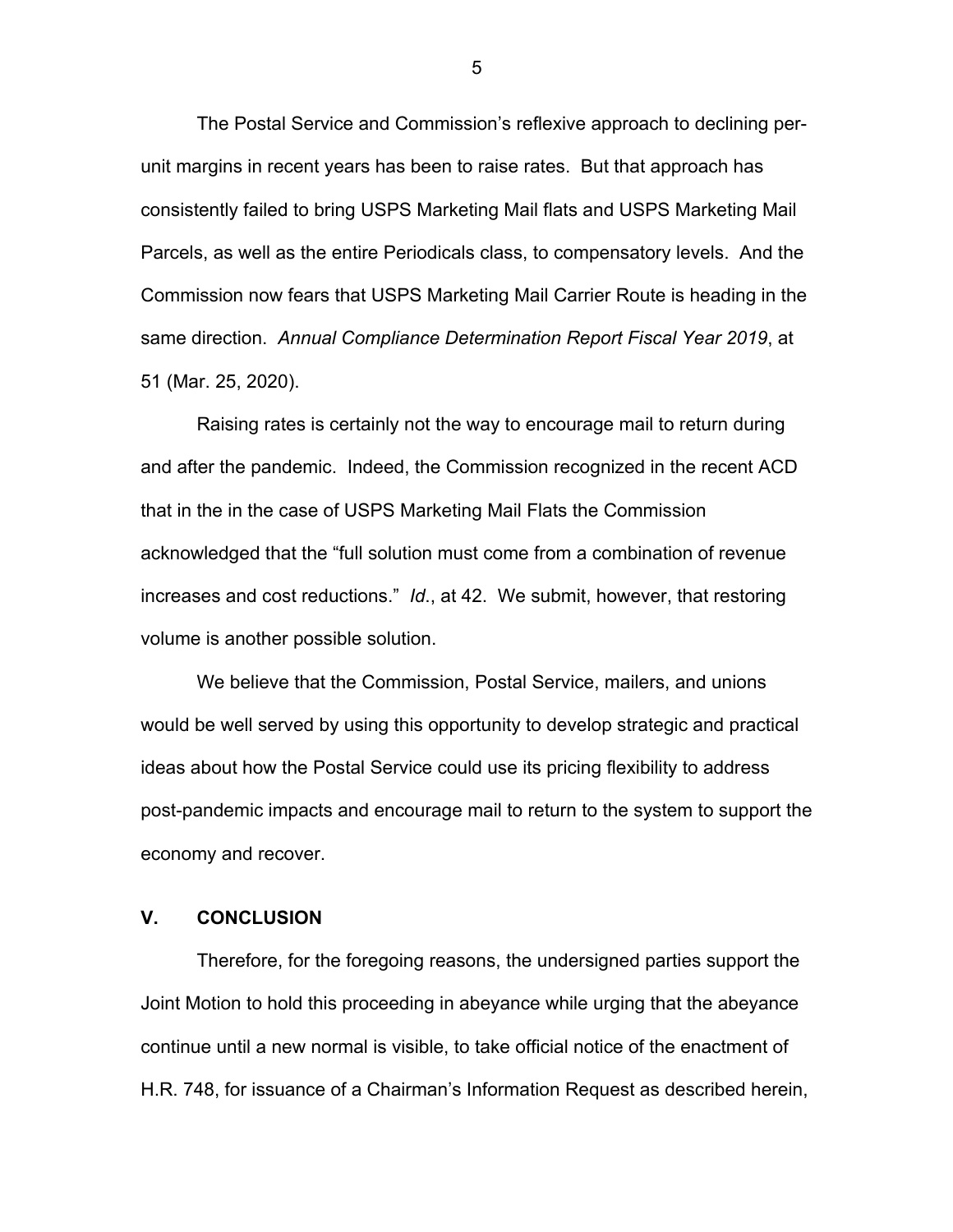The Postal Service and Commission's reflexive approach to declining perunit margins in recent years has been to raise rates. But that approach has consistently failed to bring USPS Marketing Mail flats and USPS Marketing Mail Parcels, as well as the entire Periodicals class, to compensatory levels. And the Commission now fears that USPS Marketing Mail Carrier Route is heading in the same direction. *Annual Compliance Determination Report Fiscal Year 2019*, at 51 (Mar. 25, 2020).

Raising rates is certainly not the way to encourage mail to return during and after the pandemic. Indeed, the Commission recognized in the recent ACD that in the in the case of USPS Marketing Mail Flats the Commission acknowledged that the "full solution must come from a combination of revenue increases and cost reductions." *Id*., at 42. We submit, however, that restoring volume is another possible solution.

We believe that the Commission, Postal Service, mailers, and unions would be well served by using this opportunity to develop strategic and practical ideas about how the Postal Service could use its pricing flexibility to address post-pandemic impacts and encourage mail to return to the system to support the economy and recover.

### **V. CONCLUSION**

Therefore, for the foregoing reasons, the undersigned parties support the Joint Motion to hold this proceeding in abeyance while urging that the abeyance continue until a new normal is visible, to take official notice of the enactment of H.R. 748, for issuance of a Chairman's Information Request as described herein,

5